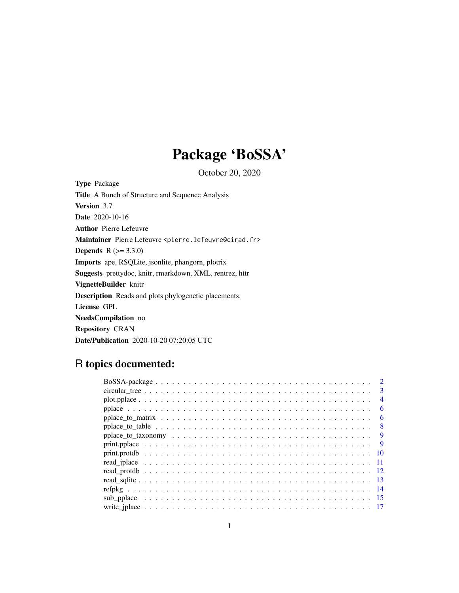# Package 'BoSSA'

October 20, 2020

Type Package Title A Bunch of Structure and Sequence Analysis Version 3.7 Date 2020-10-16 Author Pierre Lefeuvre Maintainer Pierre Lefeuvre <pierre.lefeuvre@cirad.fr> **Depends**  $R (= 3.3.0)$ Imports ape, RSQLite, jsonlite, phangorn, plotrix Suggests prettydoc, knitr, rmarkdown, XML, rentrez, httr VignetteBuilder knitr Description Reads and plots phylogenetic placements. License GPL NeedsCompilation no Repository CRAN Date/Publication 2020-10-20 07:20:05 UTC

# R topics documented:

| 3   |
|-----|
| 4   |
| 6   |
| 6   |
|     |
| 9   |
| -9  |
|     |
|     |
|     |
|     |
|     |
| -15 |
|     |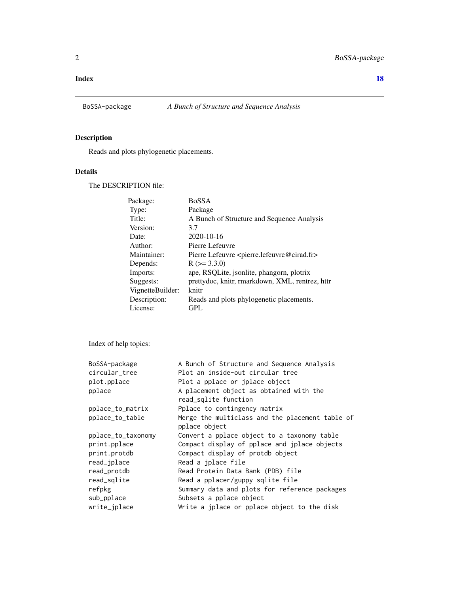#### <span id="page-1-0"></span>**Index** 2008 **[18](#page-17-0)**

# Description

Reads and plots phylogenetic placements.

# Details

The DESCRIPTION file:

| Package:         | <b>BoSSA</b>                                                          |
|------------------|-----------------------------------------------------------------------|
| Type:            | Package                                                               |
| Title:           | A Bunch of Structure and Sequence Analysis                            |
| Version:         | 3.7                                                                   |
| Date:            | 2020-10-16                                                            |
| Author:          | Pierre Lefeuvre                                                       |
| Maintainer:      | Pierre Lefeuvre <pierre.lefeuvre@cirad.fr></pierre.lefeuvre@cirad.fr> |
| Depends:         | $R$ ( $>=$ 3.3.0)                                                     |
| Imports:         | ape, RSQLite, isonlite, phangorn, plotrix                             |
| Suggests:        | prettydoc, knitr, rmarkdown, XML, rentrez, httr                       |
| VignetteBuilder: | knitr                                                                 |
| Description:     | Reads and plots phylogenetic placements.                              |
| License:         | GPL                                                                   |

Index of help topics:

| BoSSA-package      | A Bunch of Structure and Sequence Analysis      |
|--------------------|-------------------------------------------------|
| circular_tree      | Plot an inside-out circular tree                |
| plot.pplace        | Plot a pplace or jplace object                  |
| pplace             | A placement object as obtained with the         |
|                    | read_sqlite function                            |
| pplace_to_matrix   | Pplace to contingency matrix                    |
| pplace_to_table    | Merge the multiclass and the placement table of |
|                    | pplace object                                   |
| pplace_to_taxonomy | Convert a pplace object to a taxonomy table     |
| print.pplace       | Compact display of pplace and jplace objects    |
| print.protdb       | Compact display of protdb object                |
| read_jplace        | Read a jplace file                              |
| read_protdb        | Read Protein Data Bank (PDB) file               |
| read_sqlite        | Read a pplacer/guppy sqlite file                |
| refpkg             | Summary data and plots for reference packages   |
| sub_pplace         | Subsets a pplace object                         |
| write_jplace       | Write a jplace or pplace object to the disk     |
|                    |                                                 |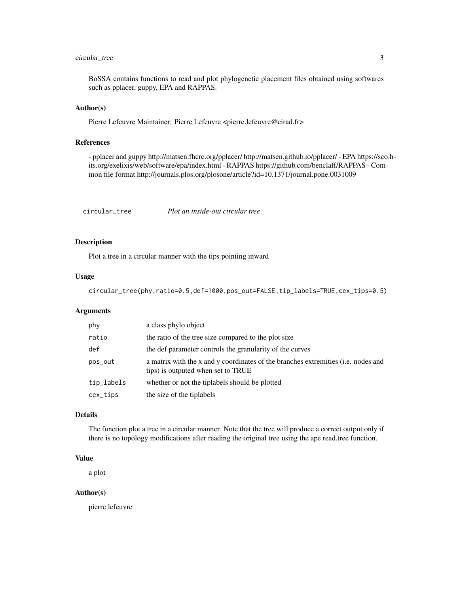# <span id="page-2-0"></span>circular\_tree 3

BoSSA contains functions to read and plot phylogenetic placement files obtained using softwares such as pplacer, guppy, EPA and RAPPAS.

#### Author(s)

Pierre Lefeuvre Maintainer: Pierre Lefeuvre <pierre.lefeuvre@cirad.fr>

#### References

- pplacer and guppy http://matsen.fhcrc.org/pplacer/ http://matsen.github.io/pplacer/ - EPA https://sco.hits.org/exelixis/web/software/epa/index.html - RAPPAS https://github.com/benclaff/RAPPAS - Common file format http://journals.plos.org/plosone/article?id=10.1371/journal.pone.0031009

circular\_tree *Plot an inside-out circular tree*

#### Description

Plot a tree in a circular manner with the tips pointing inward

#### Usage

circular\_tree(phy,ratio=0.5,def=1000,pos\_out=FALSE,tip\_labels=TRUE,cex\_tips=0.5)

#### Arguments

| phy        | a class phylo object                                                                                                            |
|------------|---------------------------------------------------------------------------------------------------------------------------------|
| ratio      | the ratio of the tree size compared to the plot size                                                                            |
| def        | the def parameter controls the granularity of the curves                                                                        |
| pos_out    | a matrix with the x and y coordinates of the branches extremities ( <i>i.e.</i> nodes and<br>tips) is outputed when set to TRUE |
| tip_labels | whether or not the tiplabels should be plotted                                                                                  |
| cex_tips   | the size of the tiplabels                                                                                                       |

#### Details

The function plot a tree in a circular manner. Note that the tree will produce a correct output only if there is no topology modifications after reading the original tree using the ape read.tree function.

#### Value

a plot

# Author(s)

pierre lefeuvre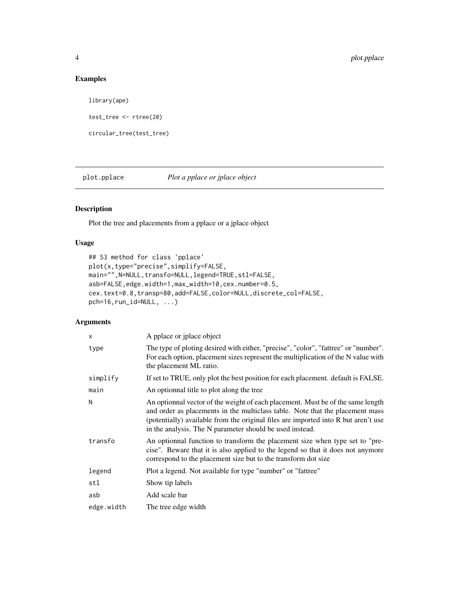# <span id="page-3-0"></span>Examples

library(ape) test\_tree <- rtree(20) circular\_tree(test\_tree)

plot.pplace *Plot a pplace or jplace object*

# Description

Plot the tree and placements from a pplace or a jplace object

# Usage

```
## S3 method for class 'pplace'
plot(x,type="precise",simplify=FALSE,
main="",N=NULL,transfo=NULL,legend=TRUE,stl=FALSE,
asb=FALSE,edge.width=1,max_width=10,cex.number=0.5,
cex.text=0.8,transp=80,add=FALSE,color=NULL,discrete_col=FALSE,
pch=16, run_id=NULL, ...)
```
# Arguments

| X          | A pplace or jplace object                                                                                                                                                                                                                                                                                          |
|------------|--------------------------------------------------------------------------------------------------------------------------------------------------------------------------------------------------------------------------------------------------------------------------------------------------------------------|
| type       | The type of ploting desired with either, "precise", "color", "fattree" or "number".<br>For each option, placement sizes represent the multiplication of the N value with<br>the placement ML ratio.                                                                                                                |
| simplify   | If set to TRUE, only plot the best position for each placement. default is FALSE.                                                                                                                                                                                                                                  |
| main       | An optionnal title to plot along the tree                                                                                                                                                                                                                                                                          |
| N          | An optionnal vector of the weight of each placement. Must be of the same length<br>and order as placements in the multiclass table. Note that the placement mass<br>(potentially) available from the original files are imported into R but aren't use<br>in the analysis. The N parameter should be used instead. |
| transfo    | An optionnal function to transform the placement size when type set to "pre-<br>cise". Beware that it is also applied to the legend so that it does not anymore<br>correspond to the placement size but to the transform dot size                                                                                  |
| legend     | Plot a legend. Not available for type "number" or "fattree"                                                                                                                                                                                                                                                        |
| stl        | Show tip labels                                                                                                                                                                                                                                                                                                    |
| asb        | Add scale bar                                                                                                                                                                                                                                                                                                      |
| edge.width | The tree edge width                                                                                                                                                                                                                                                                                                |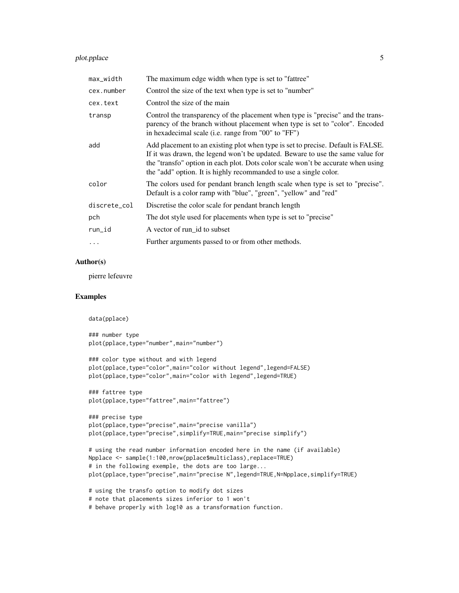# plot.pplace 5

| max_width    | The maximum edge width when type is set to "fattree"                                                                                                                                                                                                                                                                        |
|--------------|-----------------------------------------------------------------------------------------------------------------------------------------------------------------------------------------------------------------------------------------------------------------------------------------------------------------------------|
| cex.number   | Control the size of the text when type is set to "number"                                                                                                                                                                                                                                                                   |
| cex.text     | Control the size of the main                                                                                                                                                                                                                                                                                                |
| transp       | Control the transparency of the placement when type is "precise" and the trans-<br>parency of the branch without placement when type is set to "color". Encoded<br>in hexadecimal scale (i.e. range from "00" to "FF")                                                                                                      |
| add          | Add placement to an existing plot when type is set to precise. Default is FALSE.<br>If it was drawn, the legend won't be updated. Beware to use the same value for<br>the "transfo" option in each plot. Dots color scale won't be accurate when using<br>the "add" option. It is highly recommanded to use a single color. |
| color        | The colors used for pendant branch length scale when type is set to "precise".<br>Default is a color ramp with "blue", "green", "yellow" and "red"                                                                                                                                                                          |
| discrete_col | Discretise the color scale for pendant branch length                                                                                                                                                                                                                                                                        |
| pch          | The dot style used for placements when type is set to "precise"                                                                                                                                                                                                                                                             |
| run_id       | A vector of run_id to subset                                                                                                                                                                                                                                                                                                |
| .            | Further arguments passed to or from other methods.                                                                                                                                                                                                                                                                          |

# Author(s)

pierre lefeuvre

# Examples

```
data(pplace)
```
### number type plot(pplace,type="number",main="number")

```
### color type without and with legend
plot(pplace,type="color",main="color without legend",legend=FALSE)
plot(pplace,type="color",main="color with legend",legend=TRUE)
```
### fattree type plot(pplace,type="fattree",main="fattree")

```
### precise type
plot(pplace,type="precise",main="precise vanilla")
plot(pplace,type="precise",simplify=TRUE,main="precise simplify")
```

```
# using the read number information encoded here in the name (if available)
Npplace <- sample(1:100,nrow(pplace$multiclass),replace=TRUE)
# in the following exemple, the dots are too large...
plot(pplace,type="precise",main="precise N",legend=TRUE,N=Npplace,simplify=TRUE)
```

```
# using the transfo option to modify dot sizes
# note that placements sizes inferior to 1 won't
# behave properly with log10 as a transformation function.
```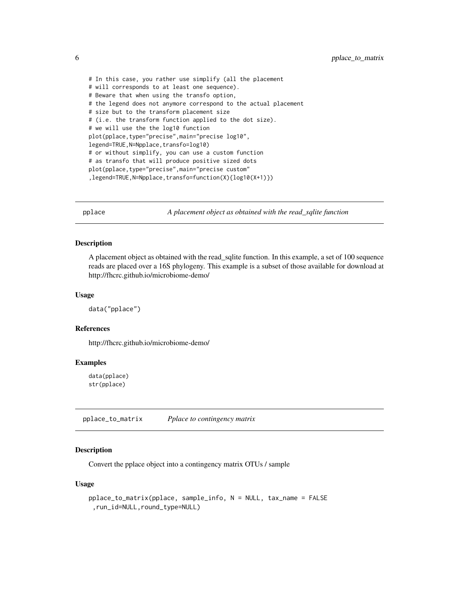# In this case, you rather use simplify (all the placement # will corresponds to at least one sequence). # Beware that when using the transfo option, # the legend does not anymore correspond to the actual placement # size but to the transform placement size # (i.e. the transform function applied to the dot size). # we will use the the log10 function plot(pplace,type="precise",main="precise log10", legend=TRUE,N=Npplace,transfo=log10) # or without simplify, you can use a custom function # as transfo that will produce positive sized dots plot(pplace,type="precise",main="precise custom" ,legend=TRUE,N=Npplace,transfo=function(X){log10(X+1)})

pplace *A placement object as obtained with the read\_sqlite function*

#### Description

A placement object as obtained with the read\_sqlite function. In this example, a set of 100 sequence reads are placed over a 16S phylogeny. This example is a subset of those available for download at http://fhcrc.github.io/microbiome-demo/

#### Usage

data("pplace")

# References

http://fhcrc.github.io/microbiome-demo/

# Examples

data(pplace) str(pplace)

pplace\_to\_matrix *Pplace to contingency matrix*

#### **Description**

Convert the pplace object into a contingency matrix OTUs / sample

#### Usage

```
pplace_to_matrix(pplace, sample_info, N = NULL, tax_name = FALSE
 ,run_id=NULL,round_type=NULL)
```
<span id="page-5-0"></span>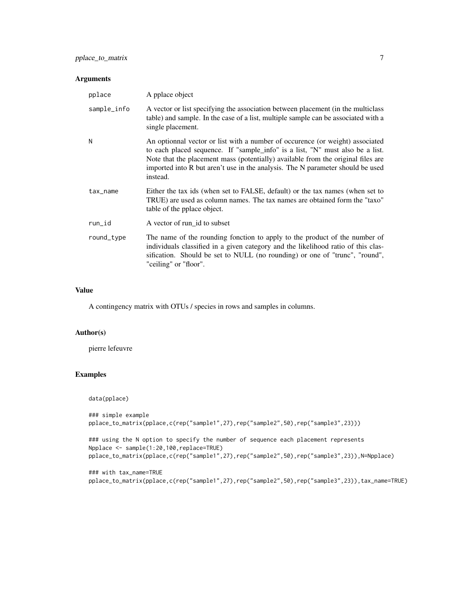# Arguments

| pplace      | A pplace object                                                                                                                                                                                                                                                                                                                                  |
|-------------|--------------------------------------------------------------------------------------------------------------------------------------------------------------------------------------------------------------------------------------------------------------------------------------------------------------------------------------------------|
| sample_info | A vector or list specifying the association between placement (in the multiclass<br>table) and sample. In the case of a list, multiple sample can be associated with a<br>single placement.                                                                                                                                                      |
| N           | An optionnal vector or list with a number of occurence (or weight) associated<br>to each placed sequence. If "sample_info" is a list, "N" must also be a list.<br>Note that the placement mass (potentially) available from the original files are<br>imported into R but aren't use in the analysis. The N parameter should be used<br>instead. |
| tax_name    | Either the tax ids (when set to FALSE, default) or the tax names (when set to<br>TRUE) are used as column names. The tax names are obtained form the "taxo"<br>table of the pplace object.                                                                                                                                                       |
| run_id      | A vector of run_id to subset                                                                                                                                                                                                                                                                                                                     |
| round_type  | The name of the rounding fonction to apply to the product of the number of<br>individuals classified in a given category and the likelihood ratio of this clas-<br>sification. Should be set to NULL (no rounding) or one of "trunc", "round",<br>"ceiling" or "floor".                                                                          |

# Value

A contingency matrix with OTUs / species in rows and samples in columns.

# Author(s)

pierre lefeuvre

# Examples

data(pplace)

```
### simple example
pplace_to_matrix(pplace,c(rep("sample1",27),rep("sample2",50),rep("sample3",23)))
```

```
### using the N option to specify the number of sequence each placement represents
Npplace <- sample(1:20,100,replace=TRUE)
pplace_to_matrix(pplace,c(rep("sample1",27),rep("sample2",50),rep("sample3",23)),N=Npplace)
```

```
### with tax_name=TRUE
pplace_to_matrix(pplace,c(rep("sample1",27),rep("sample2",50),rep("sample3",23)),tax_name=TRUE)
```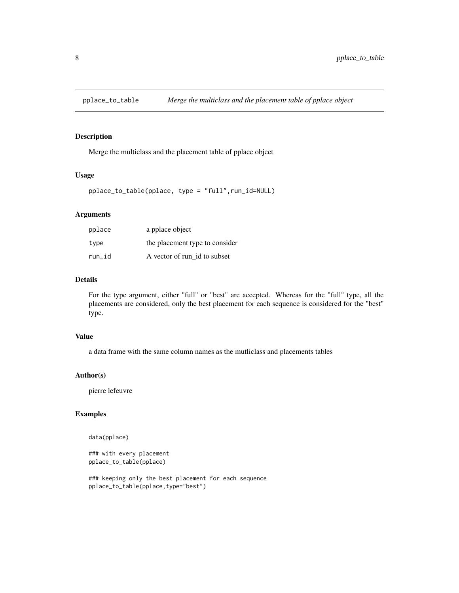<span id="page-7-0"></span>

Merge the multiclass and the placement table of pplace object

# Usage

```
pplace_to_table(pplace, type = "full",run_id=NULL)
```
# Arguments

| pplace | a pplace object                |
|--------|--------------------------------|
| type   | the placement type to consider |
| run id | A vector of run id to subset   |

### Details

For the type argument, either "full" or "best" are accepted. Whereas for the "full" type, all the placements are considered, only the best placement for each sequence is considered for the "best" type.

# Value

a data frame with the same column names as the mutliclass and placements tables

# Author(s)

pierre lefeuvre

# Examples

data(pplace)

```
### with every placement
pplace_to_table(pplace)
```
### keeping only the best placement for each sequence pplace\_to\_table(pplace,type="best")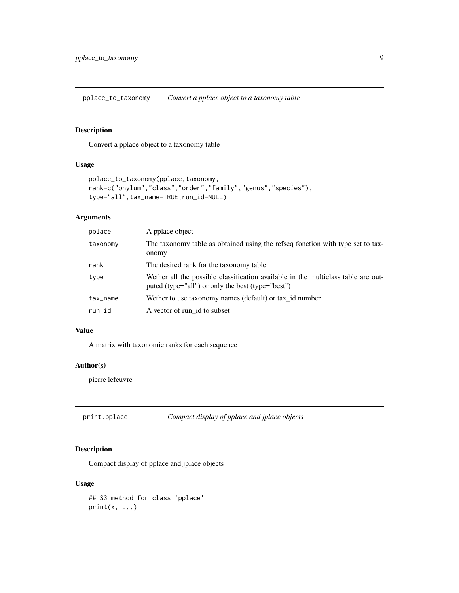<span id="page-8-0"></span>pplace\_to\_taxonomy *Convert a pplace object to a taxonomy table*

# Description

Convert a pplace object to a taxonomy table

# Usage

```
pplace_to_taxonomy(pplace,taxonomy,
rank=c("phylum","class","order","family","genus","species"),
type="all",tax_name=TRUE,run_id=NULL)
```
# Arguments

| pplace   | A pplace object                                                                                                                        |
|----------|----------------------------------------------------------------------------------------------------------------------------------------|
| taxonomy | The taxonomy table as obtained using the refseq fonction with type set to tax-<br>onomy                                                |
| rank     | The desired rank for the taxonomy table                                                                                                |
| type     | Wether all the possible classification available in the multiclass table are out-<br>puted (type="all") or only the best (type="best") |
| tax_name | Wether to use taxonomy names (default) or tax_id number                                                                                |
| run_id   | A vector of run_id to subset                                                                                                           |

#### Value

A matrix with taxonomic ranks for each sequence

#### Author(s)

pierre lefeuvre

print.pplace *Compact display of pplace and jplace objects*

# Description

Compact display of pplace and jplace objects

#### Usage

## S3 method for class 'pplace'  $print(x, \ldots)$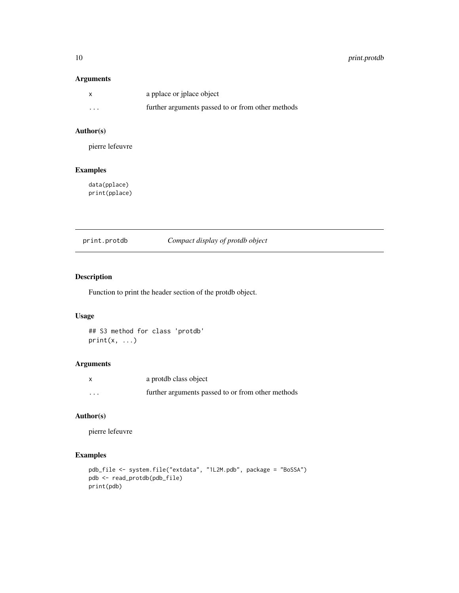# <span id="page-9-0"></span>10 print.protdb

# Arguments

|          | a pplace or jplace object                         |
|----------|---------------------------------------------------|
| $\cdots$ | further arguments passed to or from other methods |

# Author(s)

pierre lefeuvre

# Examples

data(pplace) print(pplace)

print.protdb *Compact display of protdb object*

# Description

Function to print the header section of the protdb object.

#### Usage

## S3 method for class 'protdb'  $print(x, \ldots)$ 

# Arguments

|          | a protdb class object                             |
|----------|---------------------------------------------------|
| $\cdots$ | further arguments passed to or from other methods |

# Author(s)

pierre lefeuvre

# Examples

```
pdb_file <- system.file("extdata", "1L2M.pdb", package = "BoSSA")
pdb <- read_protdb(pdb_file)
print(pdb)
```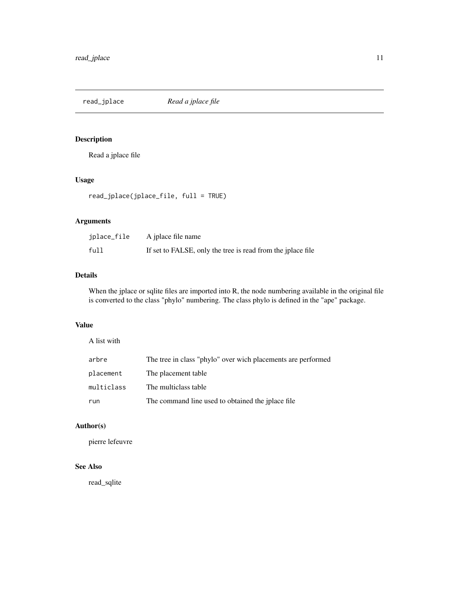<span id="page-10-0"></span>

Read a jplace file

# Usage

read\_jplace(jplace\_file, full = TRUE)

#### Arguments

| jplace_file | A jplace file name                                         |
|-------------|------------------------------------------------------------|
| full        | If set to FALSE, only the tree is read from the place file |

# Details

When the jplace or sqlite files are imported into R, the node numbering available in the original file is converted to the class "phylo" numbering. The class phylo is defined in the "ape" package.

#### Value

#### A list with

| arbre      | The tree in class "phylo" over wich placements are performed |  |
|------------|--------------------------------------------------------------|--|
| placement  | The placement table                                          |  |
| multiclass | The multiclass table                                         |  |
| run        | The command line used to obtained the jplace file.           |  |

# Author(s)

pierre lefeuvre

# See Also

read\_sqlite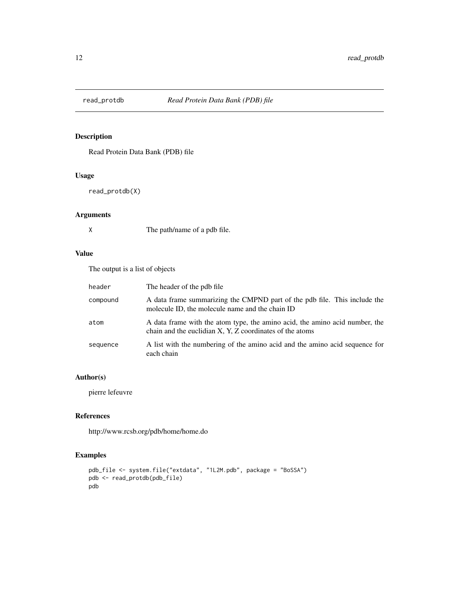<span id="page-11-0"></span>

Read Protein Data Bank (PDB) file

#### Usage

read\_protdb(X)

# Arguments

X The path/name of a pdb file.

# Value

The output is a list of objects

| header   | The header of the pdb file                                                                                                              |
|----------|-----------------------------------------------------------------------------------------------------------------------------------------|
| compound | A data frame summarizing the CMPND part of the pdb file. This include the<br>molecule ID, the molecule name and the chain ID            |
| atom     | A data frame with the atom type, the amino acid, the amino acid number, the<br>chain and the euclidian X, Y, Z coordinates of the atoms |
| sequence | A list with the numbering of the amino acid and the amino acid sequence for<br>each chain                                               |

# Author(s)

pierre lefeuvre

# References

http://www.rcsb.org/pdb/home/home.do

# Examples

```
pdb_file <- system.file("extdata", "1L2M.pdb", package = "BoSSA")
pdb <- read_protdb(pdb_file)
pdb
```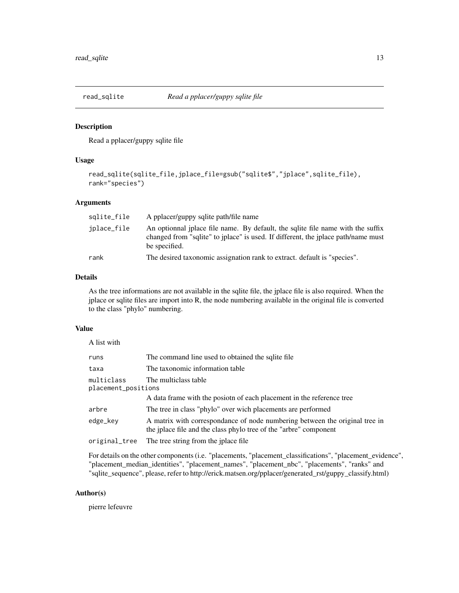<span id="page-12-0"></span>

Read a pplacer/guppy sqlite file

# Usage

```
read_sqlite(sqlite_file,jplace_file=gsub("sqlite$","jplace",sqlite_file),
rank="species")
```
# Arguments

| sqlite_file | A pplacer/guppy sqlite path/file name                                                                                                                                                 |
|-------------|---------------------------------------------------------------------------------------------------------------------------------------------------------------------------------------|
| iplace_file | An optionnal jplace file name. By default, the sqlite file name with the suffix<br>changed from "sqlite" to jplace" is used. If different, the jplace path/name must<br>be specified. |
| rank        | The desired taxonomic assignation rank to extract. default is "species".                                                                                                              |
|             |                                                                                                                                                                                       |

# Details

As the tree informations are not available in the sqlite file, the jplace file is also required. When the jplace or sqlite files are import into R, the node numbering available in the original file is converted to the class "phylo" numbering.

# Value

| A list with                                               |                                                                                                                                                  |  |
|-----------------------------------------------------------|--------------------------------------------------------------------------------------------------------------------------------------------------|--|
| runs                                                      | The command line used to obtained the sqlite file.                                                                                               |  |
| taxa                                                      | The taxonomic information table                                                                                                                  |  |
| multiclass<br>The multiclass table<br>placement_positions |                                                                                                                                                  |  |
|                                                           | A data frame with the position of each placement in the reference tree                                                                           |  |
| arbre                                                     | The tree in class "phylo" over wich placements are performed                                                                                     |  |
| edge_key                                                  | A matrix with correspondance of node numbering between the original tree in<br>the jplace file and the class phylo tree of the "arbre" component |  |
| original_tree                                             | The tree string from the jplace file.                                                                                                            |  |

For details on the other components (i.e. "placements, "placement\_classifications", "placement\_evidence", "placement\_median\_identities", "placement\_names", "placement\_nbc", "placements", "ranks" and "sqlite\_sequence", please, refer to http://erick.matsen.org/pplacer/generated\_rst/guppy\_classify.html)

# Author(s)

pierre lefeuvre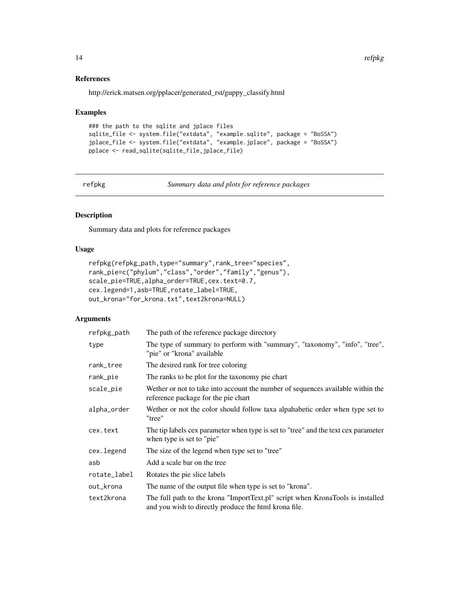# References

```
http://erick.matsen.org/pplacer/generated_rst/guppy_classify.html
```
#### Examples

```
### the path to the sqlite and jplace files
sqlite_file <- system.file("extdata", "example.sqlite", package = "BoSSA")
jplace_file <- system.file("extdata", "example.jplace", package = "BoSSA")
pplace <- read_sqlite(sqlite_file,jplace_file)
```
refpkg *Summary data and plots for reference packages*

# Description

Summary data and plots for reference packages

#### Usage

```
refpkg(refpkg_path,type="summary",rank_tree="species",
rank_pie=c("phylum","class","order","family","genus"),
scale_pie=TRUE,alpha_order=TRUE,cex.text=0.7,
cex.legend=1,asb=TRUE,rotate_label=TRUE,
out_krona="for_krona.txt",text2krona=NULL)
```
#### Arguments

| refpkg_path  | The path of the reference package directory                                                                                             |  |
|--------------|-----------------------------------------------------------------------------------------------------------------------------------------|--|
| type         | The type of summary to perform with "summary", "taxonomy", "info", "tree",<br>"pie" or "krona" available                                |  |
| rank_tree    | The desired rank for tree coloring                                                                                                      |  |
| rank_pie     | The ranks to be plot for the taxonomy pie chart                                                                                         |  |
| scale_pie    | We there or not to take into account the number of sequences available within the<br>reference package for the pie chart                |  |
| alpha_order  | Wether or not the color should follow taxa alpahabetic order when type set to<br>"tree"                                                 |  |
| cex.text     | The tip labels cex parameter when type is set to "tree" and the text cex parameter<br>when type is set to "pie"                         |  |
| cex.legend   | The size of the legend when type set to "tree"                                                                                          |  |
| asb          | Add a scale bar on the tree                                                                                                             |  |
| rotate_label | Rotates the pie slice labels                                                                                                            |  |
| out_krona    | The name of the output file when type is set to "krona".                                                                                |  |
| text2krona   | The full path to the krona "ImportText.pl" script when KronaTools is installed<br>and you wish to directly produce the html krona file. |  |

<span id="page-13-0"></span>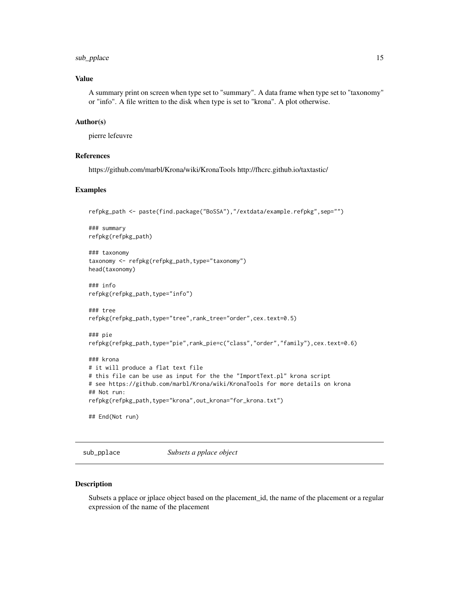# <span id="page-14-0"></span>sub\_pplace 15

# Value

A summary print on screen when type set to "summary". A data frame when type set to "taxonomy" or "info". A file written to the disk when type is set to "krona". A plot otherwise.

#### Author(s)

pierre lefeuvre

#### References

https://github.com/marbl/Krona/wiki/KronaTools http://fhcrc.github.io/taxtastic/

#### Examples

```
refpkg_path <- paste(find.package("BoSSA"),"/extdata/example.refpkg",sep="")
```

```
### summary
refpkg(refpkg_path)
```
### taxonomy taxonomy <- refpkg(refpkg\_path,type="taxonomy") head(taxonomy)

### info refpkg(refpkg\_path,type="info")

```
### tree
refpkg(refpkg_path,type="tree",rank_tree="order",cex.text=0.5)
```
### pie refpkg(refpkg\_path,type="pie",rank\_pie=c("class","order","family"),cex.text=0.6)

### krona # it will produce a flat text file # this file can be use as input for the the "ImportText.pl" krona script # see https://github.com/marbl/Krona/wiki/KronaTools for more details on krona ## Not run: refpkg(refpkg\_path,type="krona",out\_krona="for\_krona.txt")

## End(Not run)

sub\_pplace *Subsets a pplace object*

#### Description

Subsets a pplace or jplace object based on the placement\_id, the name of the placement or a regular expression of the name of the placement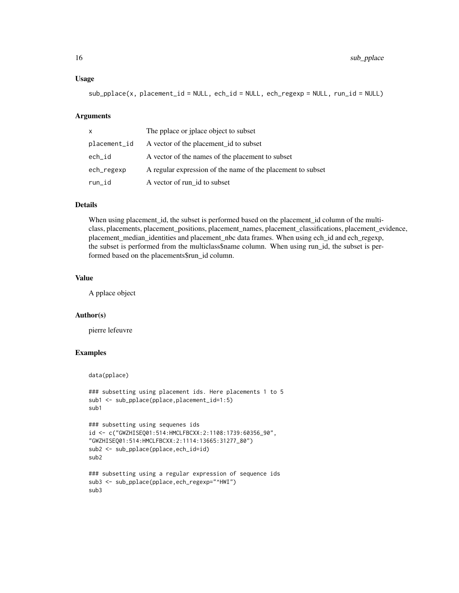#### Usage

sub\_pplace(x, placement\_id = NULL, ech\_id = NULL, ech\_regexp = NULL, run\_id = NULL)

#### Arguments

| $\mathsf{x}$ | The pplace or jplace object to subset                       |  |
|--------------|-------------------------------------------------------------|--|
| placement_id | A vector of the placement id to subset                      |  |
| ech_id       | A vector of the names of the placement to subset            |  |
| ech_regexp   | A regular expression of the name of the placement to subset |  |
| run_id       | A vector of run_id to subset                                |  |

#### Details

When using placement\_id, the subset is performed based on the placement\_id column of the multiclass, placements, placement\_positions, placement\_names, placement\_classifications, placement\_evidence, placement\_median\_identities and placement\_nbc data frames. When using ech\_id and ech\_regexp, the subset is performed from the multiclass\$name column. When using run\_id, the subset is performed based on the placements\$run\_id column.

#### Value

A pplace object

#### Author(s)

pierre lefeuvre

#### Examples

```
data(pplace)
```

```
### subsetting using placement ids. Here placements 1 to 5
sub1 <- sub_pplace(pplace,placement_id=1:5)
sub1
```

```
### subsetting using sequenes ids
id <- c("GWZHISEQ01:514:HMCLFBCXX:2:1108:1739:60356_90",
"GWZHISEQ01:514:HMCLFBCXX:2:1114:13665:31277_80")
sub2 <- sub_pplace(pplace,ech_id=id)
sub2
```

```
### subsetting using a regular expression of sequence ids
sub3 <- sub_pplace(pplace,ech_regexp="^HWI")
sub3
```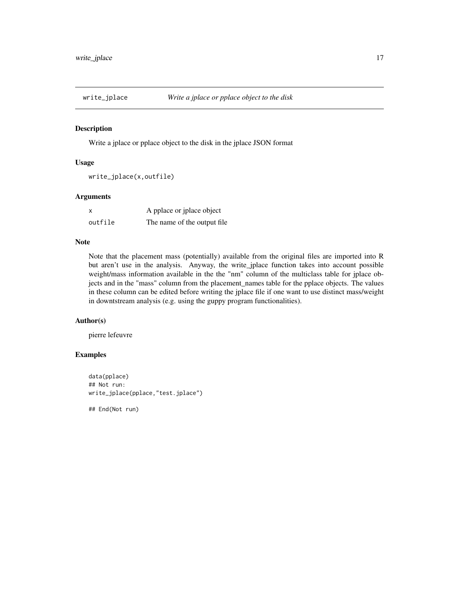<span id="page-16-0"></span>

Write a jplace or pplace object to the disk in the jplace JSON format

#### Usage

write\_jplace(x,outfile)

#### Arguments

| X       | A pplace or jplace object   |
|---------|-----------------------------|
| outfile | The name of the output file |

# Note

Note that the placement mass (potentially) available from the original files are imported into R but aren't use in the analysis. Anyway, the write\_jplace function takes into account possible weight/mass information available in the the "nm" column of the multiclass table for jplace objects and in the "mass" column from the placement\_names table for the pplace objects. The values in these column can be edited before writing the jplace file if one want to use distinct mass/weight in downtstream analysis (e.g. using the guppy program functionalities).

#### Author(s)

pierre lefeuvre

# Examples

```
data(pplace)
## Not run:
write_jplace(pplace,"test.jplace")
```
## End(Not run)